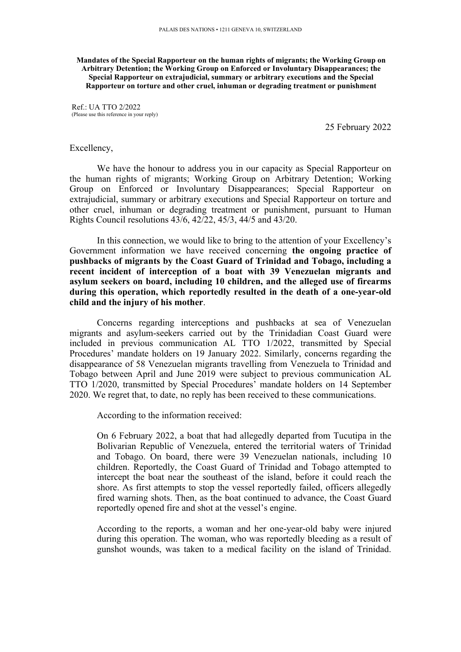**Mandates of the Special Rapporteur on the human rights of migrants; the Working Group on Arbitrary Detention; the Working Group on Enforced or Involuntary Disappearances; the Special Rapporteur on extrajudicial, summary or arbitrary executions and the Special Rapporteur on torture and other cruel, inhuman or degrading treatment or punishment**

Ref.: UA TTO 2/2022 (Please use this reference in your reply)

25 February 2022

## Excellency,

We have the honour to address you in our capacity as Special Rapporteur on the human rights of migrants; Working Group on Arbitrary Detention; Working Group on Enforced or Involuntary Disappearances; Special Rapporteur on extrajudicial, summary or arbitrary executions and Special Rapporteur on torture and other cruel, inhuman or degrading treatment or punishment, pursuan<sup>t</sup> to Human Rights Council resolutions 43/6, 42/22, 45/3, 44/5 and 43/20.

In this connection, we would like to bring to the attention of your Excellency'<sup>s</sup> Government information we have received concerning **the ongoing practice of pushbacks of migrants by the Coast Guard of Trinidad and Tobago, including <sup>a</sup> recent incident of interception of <sup>a</sup> boat with 39 Venezuelan migrants and asylum seekers on board, including 10 children, and the alleged use of firearms during this operation, which reportedly resulted in the death of <sup>a</sup> one-year-old child and the injury of his mother**.

Concerns regarding interceptions and pushbacks at sea of Venezuelan migrants and asylum-seekers carried out by the Trinidadian Coast Guard were included in previous communication AL TTO 1/2022, transmitted by Special Procedures' mandate holders on 19 January 2022. Similarly, concerns regarding the disappearance of 58 Venezuelan migrants travelling from Venezuela to Trinidad and Tobago between April and June 2019 were subject to previous communication AL TTO 1/2020, transmitted by Special Procedures' mandate holders on 14 September 2020. We regre<sup>t</sup> that, to date, no reply has been received to these communications.

According to the information received:

On 6 February 2022, <sup>a</sup> boat that had allegedly departed from Tucutipa in the Bolivarian Republic of Venezuela, entered the territorial waters of Trinidad and Tobago. On board, there were 39 Venezuelan nationals, including 10 children. Reportedly, the Coast Guard of Trinidad and Tobago attempted to intercept the boat near the southeast of the island, before it could reach the shore. As first attempts to stop the vessel reportedly failed, officers allegedly fired warning shots. Then, as the boat continued to advance, the Coast Guard reportedly opened fire and shot at the vessel'<sup>s</sup> engine.

According to the reports, <sup>a</sup> woman and her one-year-old baby were injured during this operation. The woman, who was reportedly bleeding as <sup>a</sup> result of gunshot wounds, was taken to <sup>a</sup> medical facility on the island of Trinidad.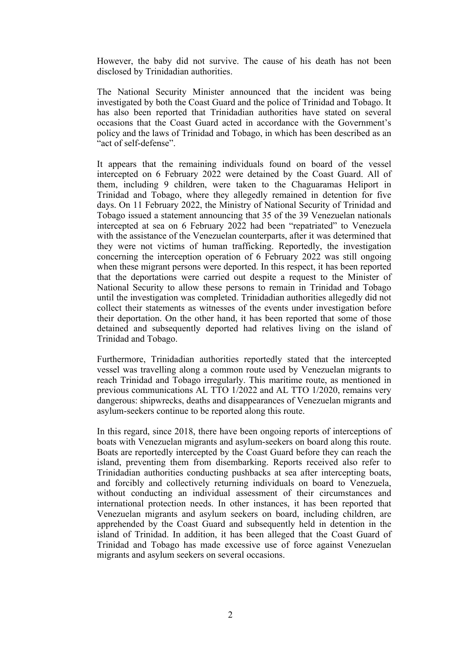However, the baby did not survive. The cause of his death has not been disclosed by Trinidadian authorities.

The National Security Minister announced that the incident was being investigated by both the Coast Guard and the police of Trinidad and Tobago. It has also been reported that Trinidadian authorities have stated on several occasions that the Coast Guard acted in accordance with the Government'<sup>s</sup> policy and the laws of Trinidad and Tobago, in which has been described as an "act of self-defense".

It appears that the remaining individuals found on board of the vessel intercepted on 6 February 2022 were detained by the Coast Guard. All of them, including 9 children, were taken to the Chaguaramas Heliport in Trinidad and Tobago, where they allegedly remained in detention for five days. On 11 February 2022, the Ministry of National Security of Trinidad and Tobago issued <sup>a</sup> statement announcing that 35 of the 39 Venezuelan nationals intercepted at sea on 6 February 2022 had been "repatriated" to Venezuela with the assistance of the Venezuelan counterparts, after it was determined that they were not victims of human trafficking. Reportedly, the investigation concerning the interception operation of 6 February 2022 was still ongoing when these migrant persons were deported. In this respect, it has been reported that the deportations were carried out despite <sup>a</sup> reques<sup>t</sup> to the Minister of National Security to allow these persons to remain in Trinidad and Tobago until the investigation was completed. Trinidadian authorities allegedly did not collect their statements as witnesses of the events under investigation before their deportation. On the other hand, it has been reported that some of those detained and subsequently deported had relatives living on the island of Trinidad and Tobago.

Furthermore, Trinidadian authorities reportedly stated that the intercepted vessel was travelling along <sup>a</sup> common route used by Venezuelan migrants to reach Trinidad and Tobago irregularly. This maritime route, as mentioned in previous communications AL TTO 1/2022 and AL TTO 1/2020, remains very dangerous: shipwrecks, deaths and disappearances of Venezuelan migrants and asylum-seekers continue to be reported along this route.

In this regard, since 2018, there have been ongoing reports of interceptions of boats with Venezuelan migrants and asylum-seekers on board along this route. Boats are reportedly intercepted by the Coast Guard before they can reach the island, preventing them from disembarking. Reports received also refer to Trinidadian authorities conducting pushbacks at sea after intercepting boats, and forcibly and collectively returning individuals on board to Venezuela, without conducting an individual assessment of their circumstances and international protection needs. In other instances, it has been reported that Venezuelan migrants and asylum seekers on board, including children, are apprehended by the Coast Guard and subsequently held in detention in the island of Trinidad. In addition, it has been alleged that the Coast Guard of Trinidad and Tobago has made excessive use of force against Venezuelan migrants and asylum seekers on several occasions.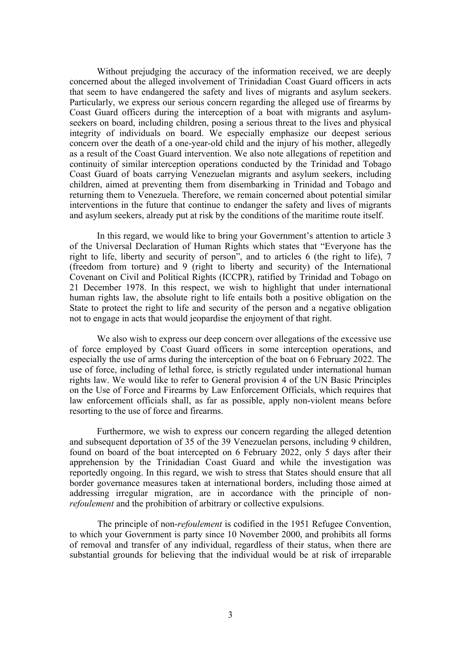Without prejudging the accuracy of the information received, we are deeply concerned about the alleged involvement of Trinidadian Coast Guard officers in acts that seem to have endangered the safety and lives of migrants and asylum seekers. Particularly, we express our serious concern regarding the alleged use of firearms by Coast Guard officers during the interception of <sup>a</sup> boat with migrants and asylumseekers on board, including children, posing <sup>a</sup> serious threat to the lives and physical integrity of individuals on board. We especially emphasize our deepest serious concern over the death of <sup>a</sup> one-year-old child and the injury of his mother, allegedly as <sup>a</sup> result of the Coast Guard intervention. We also note allegations of repetition and continuity of similar interception operations conducted by the Trinidad and Tobago Coast Guard of boats carrying Venezuelan migrants and asylum seekers, including children, aimed at preventing them from disembarking in Trinidad and Tobago and returning them to Venezuela. Therefore, we remain concerned about potential similar interventions in the future that continue to endanger the safety and lives of migrants and asylum seekers, already pu<sup>t</sup> at risk by the conditions of the maritime route itself.

In this regard, we would like to bring your Government'<sup>s</sup> attention to article 3 of the Universal Declaration of Human Rights which states that "Everyone has the right to life, liberty and security of person", and to articles 6 (the right to life), 7 (freedom from torture) and 9 (right to liberty and security) of the International Covenant on Civil and Political Rights (ICCPR), ratified by Trinidad and Tobago on 21 December 1978. In this respect, we wish to highlight that under international human rights law, the absolute right to life entails both <sup>a</sup> positive obligation on the State to protect the right to life and security of the person and <sup>a</sup> negative obligation not to engage in acts that would jeopardise the enjoyment of that right.

We also wish to express our deep concern over allegations of the excessive use of force employed by Coast Guard officers in some interception operations, and especially the use of arms during the interception of the boat on 6 February 2022. The use of force, including of lethal force, is strictly regulated under international human rights law. We would like to refer to General provision 4 of the UN Basic Principles on the Use of Force and Firearms by Law Enforcement Officials, which requires that law enforcement officials shall, as far as possible, apply non-violent means before resorting to the use of force and firearms.

Furthermore, we wish to express our concern regarding the alleged detention and subsequent deportation of 35 of the 39 Venezuelan persons, including 9 children, found on board of the boat intercepted on 6 February 2022, only 5 days after their apprehension by the Trinidadian Coast Guard and while the investigation was reportedly ongoing. In this regard, we wish to stress that States should ensure that all border governance measures taken at international borders, including those aimed at addressing irregular migration, are in accordance with the principle of non*refoulement* and the prohibition of arbitrary or collective expulsions.

The principle of non-*refoulement* is codified in the 1951 Refugee Convention, to which your Government is party since 10 November 2000, and prohibits all forms of removal and transfer of any individual, regardless of their status, when there are substantial grounds for believing that the individual would be at risk of irreparable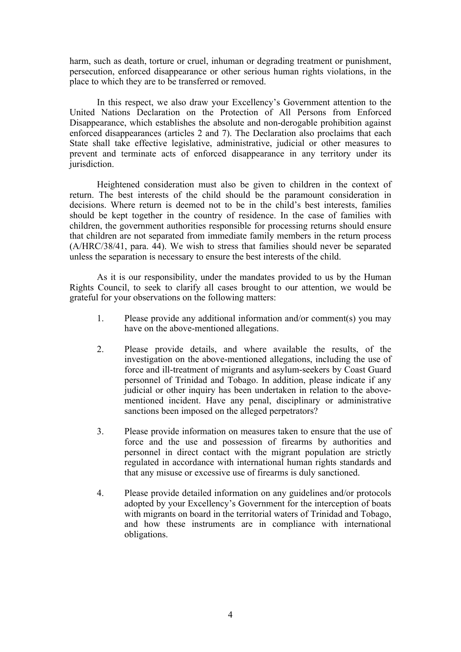harm, such as death, torture or cruel, inhuman or degrading treatment or punishment, persecution, enforced disappearance or other serious human rights violations, in the place to which they are to be transferred or removed.

In this respect, we also draw your Excellency'<sup>s</sup> Government attention to the United Nations Declaration on the Protection of All Persons from Enforced Disappearance, which establishes the absolute and non-derogable prohibition against enforced disappearances (articles 2 and 7). The Declaration also proclaims that each State shall take effective legislative, administrative, judicial or other measures to preven<sup>t</sup> and terminate acts of enforced disappearance in any territory under its jurisdiction.

Heightened consideration must also be given to children in the context of return. The best interests of the child should be the paramoun<sup>t</sup> consideration in decisions. Where return is deemed not to be in the child'<sup>s</sup> best interests, families should be kept together in the country of residence. In the case of families with children, the governmen<sup>t</sup> authorities responsible for processing returns should ensure that children are not separated from immediate family members in the return process (A/HRC/38/41, para. 44). We wish to stress that families should never be separated unless the separation is necessary to ensure the best interests of the child.

As it is our responsibility, under the mandates provided to us by the Human Rights Council, to seek to clarify all cases brought to our attention, we would be grateful for your observations on the following matters:

- 1. Please provide any additional information and/or comment(s) you may have on the above-mentioned allegations.
- 2. Please provide details, and where available the results, of the investigation on the above-mentioned allegations, including the use of force and ill-treatment of migrants and asylum-seekers by Coast Guard personnel of Trinidad and Tobago. In addition, please indicate if any judicial or other inquiry has been undertaken in relation to the abovementioned incident. Have any penal, disciplinary or administrative sanctions been imposed on the alleged perpetrators?
- 3. Please provide information on measures taken to ensure that the use of force and the use and possession of firearms by authorities and personnel in direct contact with the migrant population are strictly regulated in accordance with international human rights standards and that any misuse or excessive use of firearms is duly sanctioned.
- 4. Please provide detailed information on any guidelines and/or protocols adopted by your Excellency'<sup>s</sup> Government for the interception of boats with migrants on board in the territorial waters of Trinidad and Tobago, and how these instruments are in compliance with international obligations.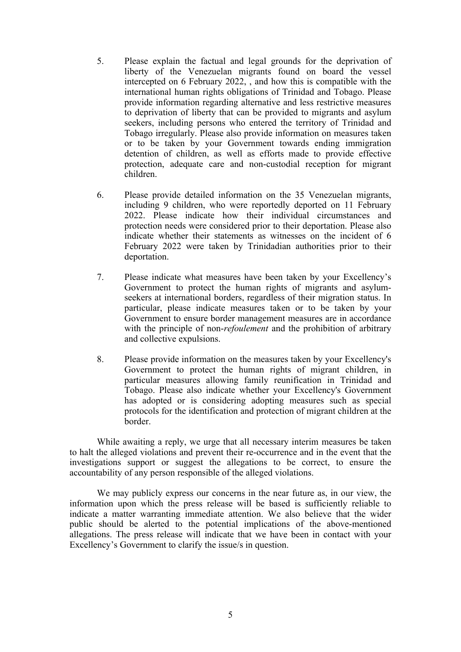- 5. Please explain the factual and legal grounds for the deprivation of liberty of the Venezuelan migrants found on board the vessel intercepted on 6 February 2022, , and how this is compatible with the international human rights obligations of Trinidad and Tobago. Please provide information regarding alternative and less restrictive measures to deprivation of liberty that can be provided to migrants and asylum seekers, including persons who entered the territory of Trinidad and Tobago irregularly. Please also provide information on measures taken or to be taken by your Government towards ending immigration detention of children, as well as efforts made to provide effective protection, adequate care and non-custodial reception for migrant children.
- 6. Please provide detailed information on the 35 Venezuelan migrants, including 9 children, who were reportedly deported on 11 February 2022. Please indicate how their individual circumstances and protection needs were considered prior to their deportation. Please also indicate whether their statements as witnesses on the incident of 6 February 2022 were taken by Trinidadian authorities prior to their deportation.
- 7. Please indicate what measures have been taken by your Excellency'<sup>s</sup> Government to protect the human rights of migrants and asylumseekers at international borders, regardless of their migration status. In particular, please indicate measures taken or to be taken by your Government to ensure border managemen<sup>t</sup> measures are in accordance with the principle of non-*refoulement* and the prohibition of arbitrary and collective expulsions.
- 8. Please provide information on the measures taken by your Excellency's Government to protect the human rights of migrant children, in particular measures allowing family reunification in Trinidad and Tobago. Please also indicate whether your Excellency's Government has adopted or is considering adopting measures such as special protocols for the identification and protection of migrant children at the border.

While awaiting <sup>a</sup> reply, we urge that all necessary interim measures be taken to halt the alleged violations and preven<sup>t</sup> their re-occurrence and in the event that the investigations support or suggest the allegations to be correct, to ensure the accountability of any person responsible of the alleged violations.

We may publicly express our concerns in the near future as, in our view, the information upon which the press release will be based is sufficiently reliable to indicate <sup>a</sup> matter warranting immediate attention. We also believe that the wider public should be alerted to the potential implications of the above-mentioned allegations. The press release will indicate that we have been in contact with your Excellency'<sup>s</sup> Government to clarify the issue/s in question.